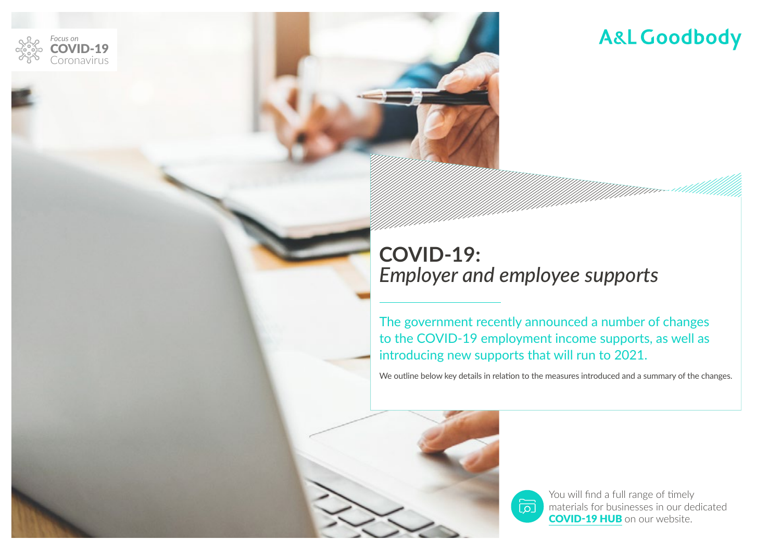

## **COVID-19:**  *Employer and employee supports*

The government recently announced a number of changes to the COVID-19 employment income supports, as well as introducing new supports that will run to 2021.

 $\overline{\overline{\mathcal{Q}}}$ 

We outline below key details in relation to the measures introduced and a summary of the changes.



*Focus on*

oronavirus D-19

> You will find a full range of timely materials for businesses in our dedicated [COVID-19 HUB](https://www.algoodbody.com/covid-19-coronavirus-hub) on our website.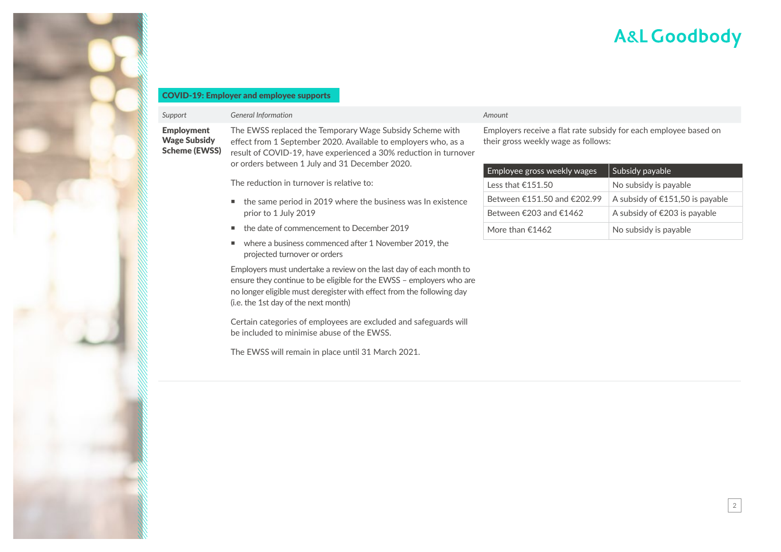2

### COVID-19: Employer and employee supports

### Employment Wage Subsidy Scheme (EWSS)

| The EWSS replaced the Temporary Wage Subsidy Scheme with         |
|------------------------------------------------------------------|
| effect from 1 September 2020. Available to employers who, as a   |
| result of COVID-19, have experienced a 30% reduction in turnover |
| or orders between 1 July and 31 December 2020.                   |
|                                                                  |

The reduction in turnover is relative to:

- $\blacksquare$  the same period in 2019 where the business was In existence prior to 1 July 2019
- the date of commencement to December 2019
- where a business commenced after 1 November 2019, the projected turnover or orders

Employers must undertake a review on the last day of each month to ensure they continue to be eligible for the EWSS – employers who are no longer eligible must deregister with effect from the following day (i.e. the 1st day of the next month)

Certain categories of employees are excluded and safeguards will be included to minimise abuse of the EWSS.

The EWSS will remain in place until 31 March 2021.

#### *Support General Information Amount*

Employers receive a flat rate subsidy for each employee based on their gross weekly wage as follows:

| Employee gross weekly wages | Subsidy payable                        |
|-----------------------------|----------------------------------------|
| less that €151.50           | No subsidy is payable                  |
| Between €151.50 and €202.99 | A subsidy of $£151,50$ is payable      |
| Between €203 and €1462      | A subsidy of $\epsilon$ 203 is payable |
| More than $£1462$           | No subsidy is payable                  |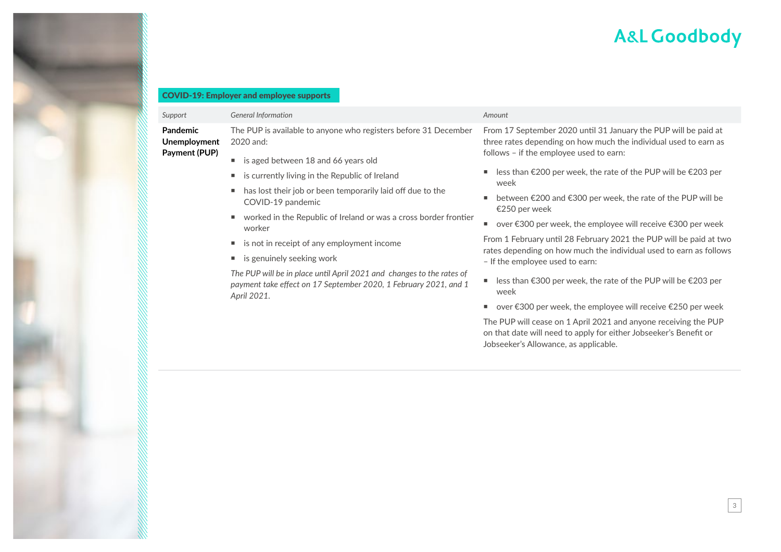### COVID-19: Employer and employee supports

| Support<br>Pandemic<br>Unemployment<br>Payment (PUP) | <b>General Information</b><br>The PUP is available to anyone who registers before 31 December<br>2020 and:<br>is aged between 18 and 66 years old<br>л.<br>is currently living in the Republic of Ireland                                                                                                                                                                                                             | Amount<br>From 17 September 2020 until 31 January the PUP will be paid at<br>three rates depending on how much the individual used to earn as<br>follows - if the employee used to earn:<br>less than €200 per week, the rate of the PUP will be $€203$ per<br>٠<br>week                                                                                                                                                                                                                                                                                                                                                                                             |
|------------------------------------------------------|-----------------------------------------------------------------------------------------------------------------------------------------------------------------------------------------------------------------------------------------------------------------------------------------------------------------------------------------------------------------------------------------------------------------------|----------------------------------------------------------------------------------------------------------------------------------------------------------------------------------------------------------------------------------------------------------------------------------------------------------------------------------------------------------------------------------------------------------------------------------------------------------------------------------------------------------------------------------------------------------------------------------------------------------------------------------------------------------------------|
|                                                      | has lost their job or been temporarily laid off due to the<br>٠<br>COVID-19 pandemic<br>worked in the Republic of Ireland or was a cross border frontier<br>worker<br>is not in receipt of any employment income<br>п.<br>is genuinely seeking work<br>п.<br>The PUP will be in place until April 2021 and changes to the rates of<br>payment take effect on 17 September 2020, 1 February 2021, and 1<br>April 2021. | between €200 and €300 per week, the rate of the PUP will be<br>٠<br>€250 per week<br>over €300 per week, the employee will receive €300 per week<br>٠<br>From 1 February until 28 February 2021 the PUP will be paid at two<br>rates depending on how much the individual used to earn as follows<br>- If the employee used to earn:<br>less than €300 per week, the rate of the PUP will be $€203$ per<br>week<br>over €300 per week, the employee will receive €250 per week<br>٠<br>The PUP will cease on 1 April 2021 and anyone receiving the PUP<br>on that date will need to apply for either Jobseeker's Benefit or<br>Jobseeker's Allowance, as applicable. |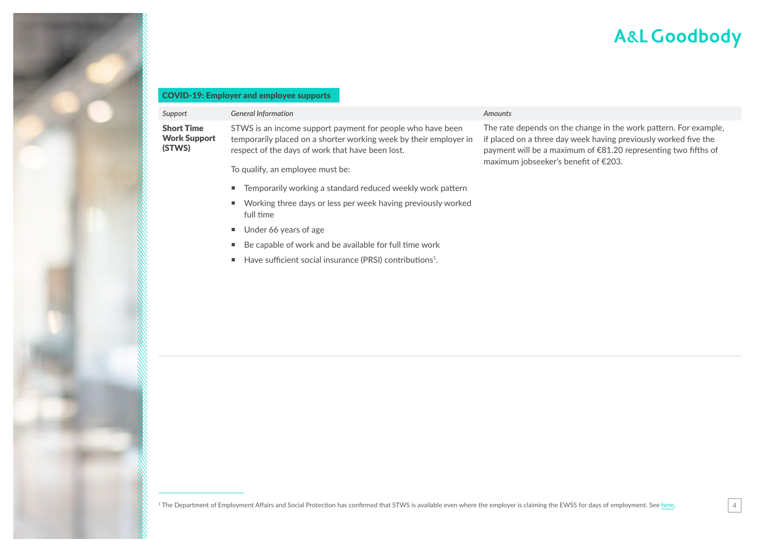4

#### COVID-19: Employer and employee supports

| Support                                            | <b>General Information</b>                                                                                                                                                                                              | <b>Amounts</b>                                                                                                                                                                                                                                |
|----------------------------------------------------|-------------------------------------------------------------------------------------------------------------------------------------------------------------------------------------------------------------------------|-----------------------------------------------------------------------------------------------------------------------------------------------------------------------------------------------------------------------------------------------|
| <b>Short Time</b><br><b>Work Support</b><br>(STWS) | STWS is an income support payment for people who have been<br>temporarily placed on a shorter working week by their employer in<br>respect of the days of work that have been lost.<br>To qualify, an employee must be: | The rate depends on the change in the work pattern. For example,<br>if placed on a three day week having previously worked five the<br>payment will be a maximum of €81.20 representing two fifths of<br>maximum jobseeker's benefit of €203. |
|                                                    | ■ Temporarily working a standard reduced weekly work pattern                                                                                                                                                            |                                                                                                                                                                                                                                               |
|                                                    | ■ Working three days or less per week having previously worked<br>full time                                                                                                                                             |                                                                                                                                                                                                                                               |
|                                                    | $\blacksquare$ Under 66 years of age                                                                                                                                                                                    |                                                                                                                                                                                                                                               |
|                                                    | Be capable of work and be available for full time work<br>٠                                                                                                                                                             |                                                                                                                                                                                                                                               |
|                                                    | Have sufficient social insurance (PRSI) contributions <sup>1</sup> .<br>п.                                                                                                                                              |                                                                                                                                                                                                                                               |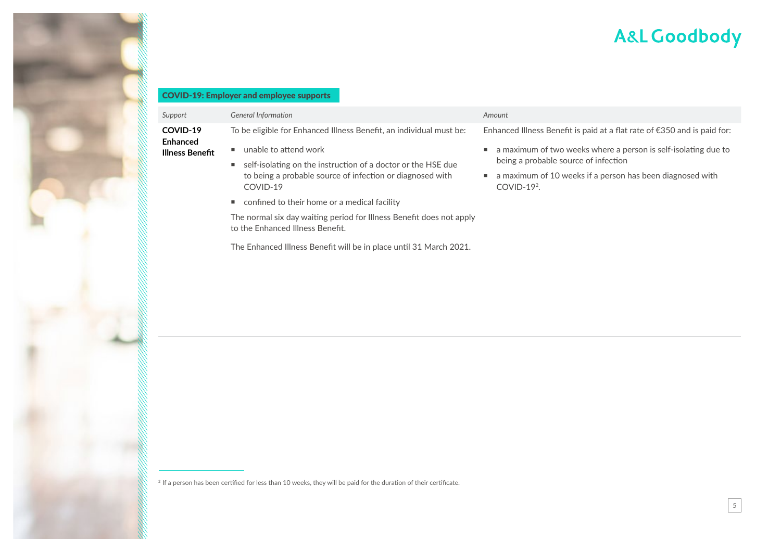#### COVID-19: Employer and employee supports

| Support                                        | <b>General Information</b>                                                                                                                                                                                                            | Amount                                                                                                                                                                                                                                                                     |
|------------------------------------------------|---------------------------------------------------------------------------------------------------------------------------------------------------------------------------------------------------------------------------------------|----------------------------------------------------------------------------------------------------------------------------------------------------------------------------------------------------------------------------------------------------------------------------|
| <b>COVID-19</b><br>Enhanced<br>Illness Benefit | To be eligible for Enhanced Illness Benefit, an individual must be:<br>unable to attend work<br>self-isolating on the instruction of a doctor or the HSE due<br>to being a probable source of infection or diagnosed with<br>COVID-19 | Enhanced Illness Benefit is paid at a flat rate of €350 and is paid for:<br>a maximum of two weeks where a person is self-isolating due to<br>٠<br>being a probable source of infection<br>a maximum of 10 weeks if a person has been diagnosed with<br>٠<br>$COVID-192$ . |
|                                                | confined to their home or a medical facility<br>The normal six day waiting period for Illness Benefit does not apply<br>to the Enhanced Illness Benefit.                                                                              |                                                                                                                                                                                                                                                                            |

The Enhanced Illness Benefit will be in place until 31 March 2021.

<sup>2</sup> If a person has been certified for less than 10 weeks, they will be paid for the duration of their certificate.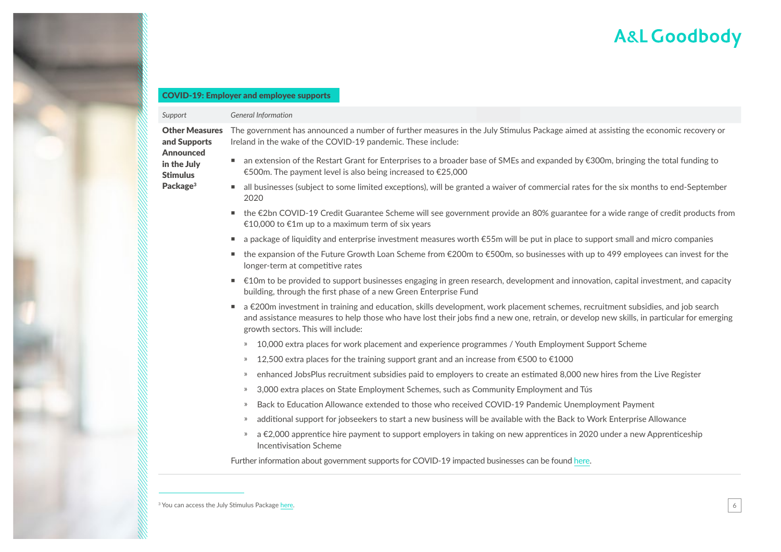#### COVID-19: Employer and employee supports

#### **Support General Information**

Announced in the July Stimulus Package<sup>3</sup>

Other Measures and Supports The government has announced a number of further measures in the July Stimulus Package aimed at assisting the economic recovery or Ireland in the wake of the COVID-19 pandemic. These include:

- an extension of the Restart Grant for Enterprises to a broader base of SMEs and expanded by €300m, bringing the total funding to €500m. The payment level is also being increased to €25,000
- all businesses (subject to some limited exceptions), will be granted a waiver of commercial rates for the six months to end-September 2020
- the €2bn COVID-19 Credit Guarantee Scheme will see government provide an 80% guarantee for a wide range of credit products from €10,000 to €1m up to a maximum term of six years
- a package of liquidity and enterprise investment measures worth €55m will be put in place to support small and micro companies
- the expansion of the Future Growth Loan Scheme from €200m to €500m, so businesses with up to 499 employees can invest for the longer-term at competitive rates
- €10m to be provided to support businesses engaging in green research, development and innovation, capital investment, and capacity building, through the first phase of a new Green Enterprise Fund
- a €200m investment in training and education, skills development, work placement schemes, recruitment subsidies, and job search and assistance measures to help those who have lost their jobs find a new one, retrain, or develop new skills, in particular for emerging growth sectors. This will include:
	- $\degree$  10,000 extra places for work placement and experience programmes / Youth Employment Support Scheme
	- $\dot{p}$  12,500 extra places for the training support grant and an increase from  $\epsilon$ 500 to  $\epsilon$ 1000
	- ҉ enhanced JobsPlus recruitment subsidies paid to employers to create an estimated 8,000 new hires from the Live Register
	- » 3,000 extra places on State Employment Schemes, such as Community Employment and Tús
	- » Back to Education Allowance extended to those who received COVID-19 Pandemic Unemployment Payment
	- » additional support for jobseekers to start a new business will be available with the Back to Work Enterprise Allowance
	- » a €2,000 apprentice hire payment to support employers in taking on new apprentices in 2020 under a new Apprenticeship Incentivisation Scheme

Further information about government supports for COVID-19 impacted businesses can be found [here.](https://dbei.gov.ie/en/What-We-Do/Supports-for-SMEs/COVID-19-supports/)